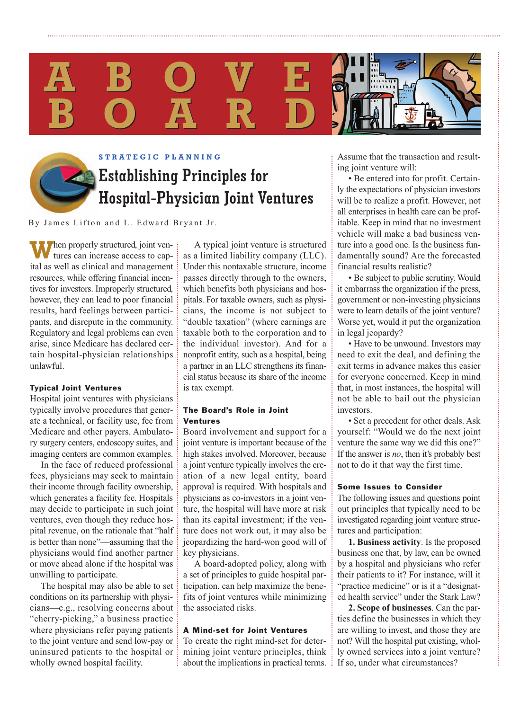



#### **STRATEGIC PLANNING**

# **Establishing Principles for Hospital-Physician Joint Ventures**

By James Lifton and L. Edward Bryant Jr.

**W** hen properly structured, joint ventures can increase access to capital as well as clinical and management resources, while offering financial incentives for investors. Improperly structured, however, they can lead to poor financial results, hard feelings between participants, and disrepute in the community. Regulatory and legal problems can even arise, since Medicare has declared certain hospital-physician relationships unlawful.

#### **Typical Joint Ventures**

Hospital joint ventures with physicians typically involve procedures that generate a technical, or facility use, fee from Medicare and other payers. Ambulatory surgery centers, endoscopy suites, and imaging centers are common examples.

In the face of reduced professional fees, physicians may seek to maintain their income through facility ownership, which generates a facility fee. Hospitals may decide to participate in such joint ventures, even though they reduce hospital revenue, on the rationale that "half is better than none"—assuming that the physicians would find another partner or move ahead alone if the hospital was unwilling to participate.

The hospital may also be able to set conditions on its partnership with physicians—e.g., resolving concerns about "cherry-picking," a business practice where physicians refer paying patients to the joint venture and send low-pay or uninsured patients to the hospital or wholly owned hospital facility.

A typical joint venture is structured as a limited liability company (LLC). Under this nontaxable structure, income passes directly through to the owners, which benefits both physicians and hospitals. For taxable owners, such as physicians, the income is not subject to "double taxation" (where earnings are taxable both to the corporation and to the individual investor). And for a nonprofit entity, such as a hospital, being a partner in an LLC strengthens its financial status because its share of the income is tax exempt.

## **The Board's Role in Joint Ventures**

Board involvement and support for a joint venture is important because of the high stakes involved. Moreover, because a joint venture typically involves the creation of a new legal entity, board approval is required. With hospitals and physicians as co-investors in a joint venture, the hospital will have more at risk than its capital investment; if the venture does not work out, it may also be jeopardizing the hard-won good will of key physicians.

A board-adopted policy, along with a set of principles to guide hospital participation, can help maximize the benefits of joint ventures while minimizing the associated risks.

#### **A Mind-set for Joint Ventures**

To create the right mind-set for determining joint venture principles, think about the implications in practical terms.

Assume that the transaction and resulting joint venture will:

• Be entered into for profit. Certainly the expectations of physician investors will be to realize a profit. However, not all enterprises in health care can be profitable. Keep in mind that no investment vehicle will make a bad business venture into a good one. Is the business fundamentally sound? Are the forecasted financial results realistic?

• Be subject to public scrutiny. Would it embarrass the organization if the press, government or non-investing physicians were to learn details of the joint venture? Worse yet, would it put the organization in legal jeopardy?

• Have to be unwound. Investors may need to exit the deal, and defining the exit terms in advance makes this easier for everyone concerned. Keep in mind that, in most instances, the hospital will not be able to bail out the physician investors.

• Set a precedent for other deals. Ask yourself: "Would we do the next joint venture the same way we did this one?" If the answer is *no*, then it's probably best not to do it that way the first time.

#### **Some Issues to Consider**

The following issues and questions point out principles that typically need to be investigated regarding joint venture structures and participation:

**1. Business activity**. Is the proposed business one that, by law, can be owned by a hospital and physicians who refer their patients to it? For instance, will it "practice medicine" or is it a "designated health service" under the Stark Law?

**2. Scope of businesses**. Can the parties define the businesses in which they are willing to invest, and those they are not? Will the hospital put existing, wholly owned services into a joint venture? If so, under what circumstances?